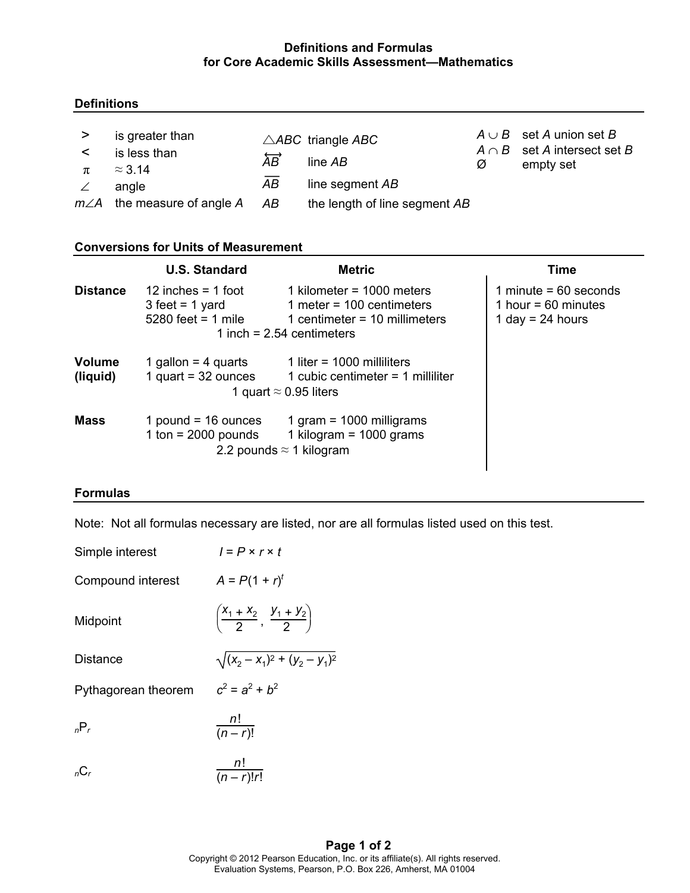# **Definitions and Formulas for Core Academic Skills Assessment—Mathematics**

# **Definitions**

| >                | is greater than                    |                           | $\triangle ABC$ triangle ABC  |   | $A \cup B$ set A union set B<br>$A \cap B$ set A intersect set B |
|------------------|------------------------------------|---------------------------|-------------------------------|---|------------------------------------------------------------------|
| $\prec$<br>$\pi$ | is less than<br>$\approx$ 3.14     | $\overleftrightarrow{AB}$ | line $AB$                     | Ø | empty set                                                        |
|                  | angle                              | AB                        | line segment AB               |   |                                                                  |
|                  | $m\angle A$ the measure of angle A | AB                        | the length of line segment AB |   |                                                                  |

### **Conversions for Units of Measurement**

|                           | U.S. Standard                                                     | <b>Metric</b>                                                                                                                | Time                                                                   |
|---------------------------|-------------------------------------------------------------------|------------------------------------------------------------------------------------------------------------------------------|------------------------------------------------------------------------|
| <b>Distance</b>           | 12 inches $=$ 1 foot<br>$3$ feet = 1 yard<br>$5280$ feet = 1 mile | 1 kilometer = $1000$ meters<br>1 meter = $100$ centimeters<br>1 centimeter = $10$ millimeters<br>1 inch = $2.54$ centimeters | 1 minute = $60$ seconds<br>1 hour = $60$ minutes<br>1 day = $24$ hours |
| <b>Volume</b><br>(liquid) | 1 gallon = $4$ quarts<br>1 quart = $32$ ounces                    | 1 liter = $1000$ milliliters<br>1 cubic centimeter $=$ 1 milliliter<br>1 quart $\approx$ 0.95 liters                         |                                                                        |
| <b>Mass</b>               | 1 pound = $16$ ounces<br>1 ton = $2000$ pounds                    | 1 gram = $1000$ milligrams<br>1 kilogram = $1000$ grams<br>2.2 pounds $\approx$ 1 kilogram                                   |                                                                        |

### **Formulas**

Note: Not all formulas necessary are listed, nor are all formulas listed used on this test.

| Simple interest     | $I = P \times r \times t$                           |
|---------------------|-----------------------------------------------------|
| Compound interest   | $A = P(1 + r)^t$                                    |
| Midpoint            | $\left(\frac{X_1+X_2}{2}, \frac{Y_1+Y_2}{2}\right)$ |
| <b>Distance</b>     | $\sqrt{(x_2 - x_1)^2 + (y_2 - y_1)^2}$              |
| Pythagorean theorem | $c^2 = a^2 + b^2$                                   |
| $nP_r$              | $\frac{n!}{(n-r)!}$                                 |
| $nC_r$              | $\frac{n!}{(n-r)!r!}$                               |